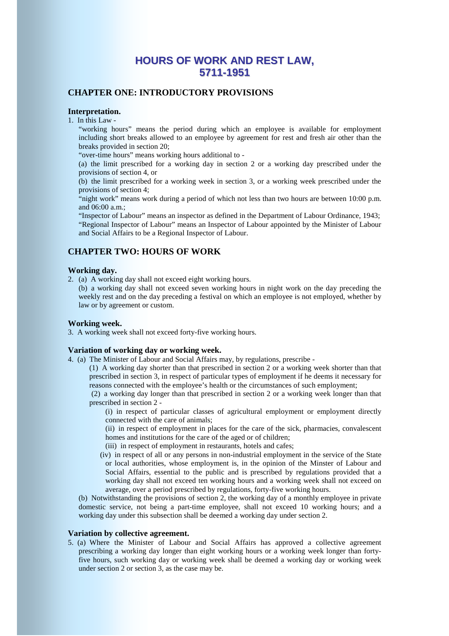# **HOURS OF WORK AND REST LAW, 5711-1951**

# **CHAPTER ONE: INTRODUCTORY PROVISIONS**

## **Interpretation.**

1. In this Law -

 "working hours" means the period during which an employee is available for employment including short breaks allowed to an employee by agreement for rest and fresh air other than the breaks provided in section 20;

"over-time hours" means working hours additional to -

 (a) the limit prescribed for a working day in section 2 or a working day prescribed under the provisions of section 4, or

 (b) the limit prescribed for a working week in section 3, or a working week prescribed under the provisions of section 4;

 "night work" means work during a period of which not less than two hours are between 10:00 p.m. and 06:00 a.m.;

 "Inspector of Labour" means an inspector as defined in the Department of Labour Ordinance, 1943; "Regional Inspector of Labour" means an Inspector of Labour appointed by the Minister of Labour and Social Affairs to be a Regional Inspector of Labour.

# **CHAPTER TWO: HOURS OF WORK**

## **Working day.**

2. (a) A working day shall not exceed eight working hours.

 (b) a working day shall not exceed seven working hours in night work on the day preceding the weekly rest and on the day preceding a festival on which an employee is not employed, whether by law or by agreement or custom.

## **Working week.**

3. A working week shall not exceed forty-five working hours.

### **Variation of working day or working week.**

4. (a) The Minister of Labour and Social Affairs may, by regulations, prescribe -

 (1) A working day shorter than that prescribed in section 2 or a working week shorter than that prescribed in section 3, in respect of particular types of employment if he deems it necessary for reasons connected with the employee's health or the circumstances of such employment;

 (2) a working day longer than that prescribed in section 2 or a working week longer than that prescribed in section 2 -

 (i) in respect of particular classes of agricultural employment or employment directly connected with the care of animals;

 (ii) in respect of employment in places for the care of the sick, pharmacies, convalescent homes and institutions for the care of the aged or of children;

- (iii) in respect of employment in restaurants, hotels and cafes;
- (iv) in respect of all or any persons in non-industrial employment in the service of the State or local authorities, whose employment is, in the opinion of the Minster of Labour and Social Affairs, essential to the public and is prescribed by regulations provided that a working day shall not exceed ten working hours and a working week shall not exceed on average, over a period prescribed by regulations, forty-five working hours.

 (b) Notwithstanding the provisions of section 2, the working day of a monthly employee in private domestic service, not being a part-time employee, shall not exceed 10 working hours; and a working day under this subsection shall be deemed a working day under section 2.

## **Variation by collective agreement.**

5. (a) Where the Minister of Labour and Social Affairs has approved a collective agreement prescribing a working day longer than eight working hours or a working week longer than fortyfive hours, such working day or working week shall be deemed a working day or working week under section 2 or section 3, as the case may be.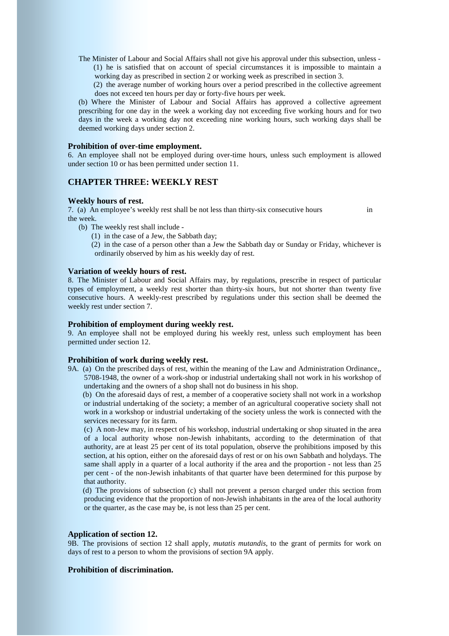The Minister of Labour and Social Affairs shall not give his approval under this subsection, unless - (1) he is satisfied that on account of special circumstances it is impossible to maintain a working day as prescribed in section 2 or working week as prescribed in section 3.

 (2) the average number of working hours over a period prescribed in the collective agreement does not exceed ten hours per day or forty-five hours per week.

 (b) Where the Minister of Labour and Social Affairs has approved a collective agreement prescribing for one day in the week a working day not exceeding five working hours and for two days in the week a working day not exceeding nine working hours, such working days shall be deemed working days under section 2.

## **Prohibition of over-time employment.**

6. An employee shall not be employed during over-time hours, unless such employment is allowed under section 10 or has been permitted under section 11.

# **CHAPTER THREE: WEEKLY REST**

#### **Weekly hours of rest.**

7. (a) An employee's weekly rest shall be not less than thirty-six consecutive hours in the week.

- (b) The weekly rest shall include
	- (1) in the case of a Jew, the Sabbath day;

 (2) in the case of a person other than a Jew the Sabbath day or Sunday or Friday, whichever is ordinarily observed by him as his weekly day of rest.

### **Variation of weekly hours of rest.**

8. The Minister of Labour and Social Affairs may, by regulations, prescribe in respect of particular types of employment, a weekly rest shorter than thirty-six hours, but not shorter than twenty five consecutive hours. A weekly-rest prescribed by regulations under this section shall be deemed the weekly rest under section 7.

#### **Prohibition of employment during weekly rest.**

9. An employee shall not be employed during his weekly rest, unless such employment has been permitted under section 12.

## **Prohibition of work during weekly rest.**

9A. (a) On the prescribed days of rest, within the meaning of the Law and Administration Ordinance,, 5708-1948, the owner of a work-shop or industrial undertaking shall not work in his workshop of undertaking and the owners of a shop shall not do business in his shop.

 (b) On the aforesaid days of rest, a member of a cooperative society shall not work in a workshop or industrial undertaking of the society; a member of an agricultural cooperative society shall not work in a workshop or industrial undertaking of the society unless the work is connected with the services necessary for its farm.

 (c) A non-Jew may, in respect of his workshop, industrial undertaking or shop situated in the area of a local authority whose non-Jewish inhabitants, according to the determination of that authority, are at least 25 per cent of its total population, observe the prohibitions imposed by this section, at his option, either on the aforesaid days of rest or on his own Sabbath and holydays. The same shall apply in a quarter of a local authority if the area and the proportion - not less than 25 per cent - of the non-Jewish inhabitants of that quarter have been determined for this purpose by that authority.

 (d) The provisions of subsection (c) shall not prevent a person charged under this section from producing evidence that the proportion of non-Jewish inhabitants in the area of the local authority or the quarter, as the case may be, is not less than 25 per cent.

## **Application of section 12.**

9B. The provisions of section 12 shall apply, *mutatis mutandis*, to the grant of permits for work on days of rest to a person to whom the provisions of section 9A apply.

## **Prohibition of discrimination.**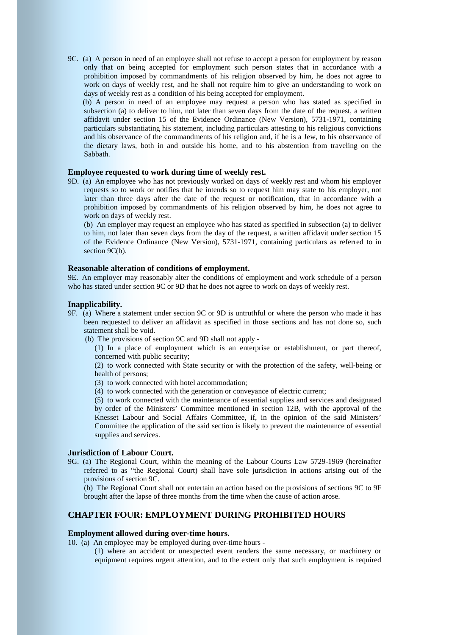9C. (a) A person in need of an employee shall not refuse to accept a person for employment by reason only that on being accepted for employment such person states that in accordance with a prohibition imposed by commandments of his religion observed by him, he does not agree to work on days of weekly rest, and he shall not require him to give an understanding to work on days of weekly rest as a condition of his being accepted for employment.

 (b) A person in need of an employee may request a person who has stated as specified in subsection (a) to deliver to him, not later than seven days from the date of the request, a written affidavit under section 15 of the Evidence Ordinance (New Version), 5731-1971, containing particulars substantiating his statement, including particulars attesting to his religious convictions and his observance of the commandments of his religion and, if he is a Jew, to his observance of the dietary laws, both in and outside his home, and to his abstention from traveling on the Sabbath.

## **Employee requested to work during time of weekly rest.**

9D. (a) An employee who has not previously worked on days of weekly rest and whom his employer requests so to work or notifies that he intends so to request him may state to his employer, not later than three days after the date of the request or notification, that in accordance with a prohibition imposed by commandments of his religion observed by him, he does not agree to work on days of weekly rest.

 (b) An employer may request an employee who has stated as specified in subsection (a) to deliver to him, not later than seven days from the day of the request, a written affidavit under section 15 of the Evidence Ordinance (New Version), 5731-1971, containing particulars as referred to in section 9C(b).

#### **Reasonable alteration of conditions of employment.**

9E. An employer may reasonably alter the conditions of employment and work schedule of a person who has stated under section 9C or 9D that he does not agree to work on days of weekly rest.

#### **Inapplicability.**

- 9F. (a) Where a statement under section 9C or 9D is untruthful or where the person who made it has been requested to deliver an affidavit as specified in those sections and has not done so, such statement shall be void.
	- (b) The provisions of section 9C and 9D shall not apply
		- (1) In a place of employment which is an enterprise or establishment, or part thereof, concerned with public security;

 (2) to work connected with State security or with the protection of the safety, well-being or health of persons;

- (3) to work connected with hotel accommodation;
- (4) to work connected with the generation or conveyance of electric current;

 (5) to work connected with the maintenance of essential supplies and services and designated by order of the Ministers' Committee mentioned in section 12B, with the approval of the Knesset Labour and Social Affairs Committee, if, in the opinion of the said Ministers' Committee the application of the said section is likely to prevent the maintenance of essential supplies and services.

## **Jurisdiction of Labour Court.**

9G. (a) The Regional Court, within the meaning of the Labour Courts Law 5729-1969 (hereinafter referred to as "the Regional Court) shall have sole jurisdiction in actions arising out of the provisions of section 9C.

 (b) The Regional Court shall not entertain an action based on the provisions of sections 9C to 9F brought after the lapse of three months from the time when the cause of action arose.

## **CHAPTER FOUR: EMPLOYMENT DURING PROHIBITED HOURS**

## **Employment allowed during over-time hours.**

10. (a) An employee may be employed during over-time hours -

 (1) where an accident or unexpected event renders the same necessary, or machinery or equipment requires urgent attention, and to the extent only that such employment is required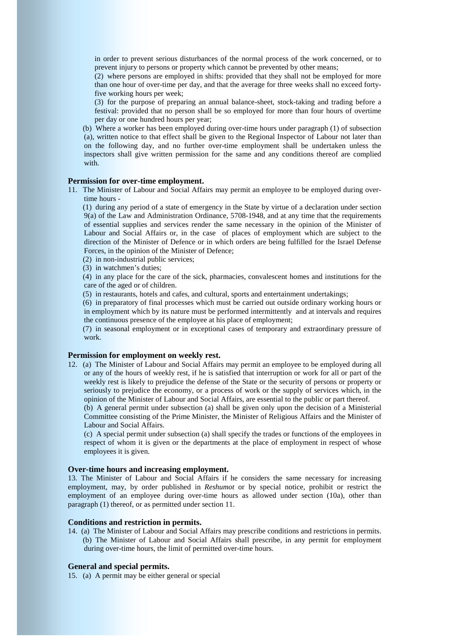in order to prevent serious disturbances of the normal process of the work concerned, or to prevent injury to persons or property which cannot be prevented by other means;

 (2) where persons are employed in shifts: provided that they shall not be employed for more than one hour of over-time per day, and that the average for three weeks shall no exceed fortyfive working hours per week;

 (3) for the purpose of preparing an annual balance-sheet, stock-taking and trading before a festival: provided that no person shall be so employed for more than four hours of overtime per day or one hundred hours per year;

 (b) Where a worker has been employed during over-time hours under paragraph (1) of subsection (a), written notice to that effect shall be given to the Regional Inspector of Labour not later than on the following day, and no further over-time employment shall be undertaken unless the inspectors shall give written permission for the same and any conditions thereof are complied with.

## **Permission for over-time employment.**

11. The Minister of Labour and Social Affairs may permit an employee to be employed during overtime hours -

 (1) during any period of a state of emergency in the State by virtue of a declaration under section 9(a) of the Law and Administration Ordinance, 5708-1948, and at any time that the requirements of essential supplies and services render the same necessary in the opinion of the Minister of Labour and Social Affairs or, in the case of places of employment which are subject to the direction of the Minister of Defence or in which orders are being fulfilled for the Israel Defense Forces, in the opinion of the Minister of Defence;

(2) in non-industrial public services;

(3) in watchmen's duties;

 (4) in any place for the care of the sick, pharmacies, convalescent homes and institutions for the care of the aged or of children.

(5) in restaurants, hotels and cafes, and cultural, sports and entertainment undertakings;

 (6) in preparatory of final processes which must be carried out outside ordinary working hours or in employment which by its nature must be performed intermittently and at intervals and requires the continuous presence of the employee at his place of employment;

 (7) in seasonal employment or in exceptional cases of temporary and extraordinary pressure of work.

#### **Permission for employment on weekly rest.**

12. (a) The Minister of Labour and Social Affairs may permit an employee to be employed during all or any of the hours of weekly rest, if he is satisfied that interruption or work for all or part of the weekly rest is likely to prejudice the defense of the State or the security of persons or property or seriously to prejudice the economy, or a process of work or the supply of services which, in the opinion of the Minister of Labour and Social Affairs, are essential to the public or part thereof.

 (b) A general permit under subsection (a) shall be given only upon the decision of a Ministerial Committee consisting of the Prime Minister, the Minister of Religious Affairs and the Minister of Labour and Social Affairs.

 (c) A special permit under subsection (a) shall specify the trades or functions of the employees in respect of whom it is given or the departments at the place of employment in respect of whose employees it is given.

## **Over-time hours and increasing employment.**

13. The Minister of Labour and Social Affairs if he considers the same necessary for increasing employment, may, by order published in *Reshumot* or by special notice, prohibit or restrict the employment of an employee during over-time hours as allowed under section (10a), other than paragraph (1) thereof, or as permitted under section 11.

## **Conditions and restriction in permits.**

14. (a) The Minister of Labour and Social Affairs may prescribe conditions and restrictions in permits. (b) The Minister of Labour and Social Affairs shall prescribe, in any permit for employment during over-time hours, the limit of permitted over-time hours.

## **General and special permits.**

15. (a) A permit may be either general or special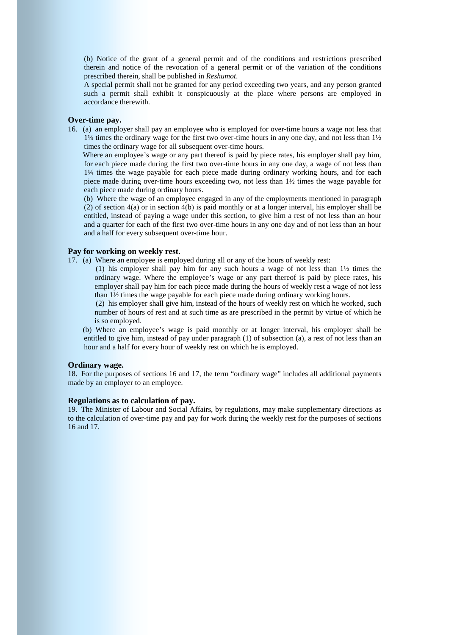(b) Notice of the grant of a general permit and of the conditions and restrictions prescribed therein and notice of the revocation of a general permit or of the variation of the conditions prescribed therein, shall be published in *Reshumot*.

A special permit shall not be granted for any period exceeding two years, and any person granted such a permit shall exhibit it conspicuously at the place where persons are employed in accordance therewith.

## **Over-time pay.**

16. (a) an employer shall pay an employee who is employed for over-time hours a wage not less that 1¼ times the ordinary wage for the first two over-time hours in any one day, and not less than 1½ times the ordinary wage for all subsequent over-time hours.

Where an employee's wage or any part thereof is paid by piece rates, his employer shall pay him, for each piece made during the first two over-time hours in any one day, a wage of not less than 1¼ times the wage payable for each piece made during ordinary working hours, and for each piece made during over-time hours exceeding two, not less than 1½ times the wage payable for each piece made during ordinary hours.

 (b) Where the wage of an employee engaged in any of the employments mentioned in paragraph (2) of section 4(a) or in section 4(b) is paid monthly or at a longer interval, his employer shall be entitled, instead of paying a wage under this section, to give him a rest of not less than an hour and a quarter for each of the first two over-time hours in any one day and of not less than an hour and a half for every subsequent over-time hour.

## **Pay for working on weekly rest.**

- 17. (a) Where an employee is employed during all or any of the hours of weekly rest:
	- (1) his employer shall pay him for any such hours a wage of not less than 1½ times the ordinary wage. Where the employee's wage or any part thereof is paid by piece rates, his employer shall pay him for each piece made during the hours of weekly rest a wage of not less than 1½ times the wage payable for each piece made during ordinary working hours.

 (2) his employer shall give him, instead of the hours of weekly rest on which he worked, such number of hours of rest and at such time as are prescribed in the permit by virtue of which he is so employed.

 (b) Where an employee's wage is paid monthly or at longer interval, his employer shall be entitled to give him, instead of pay under paragraph (1) of subsection (a), a rest of not less than an hour and a half for every hour of weekly rest on which he is employed.

## **Ordinary wage.**

18. For the purposes of sections 16 and 17, the term "ordinary wage" includes all additional payments made by an employer to an employee.

## **Regulations as to calculation of pay.**

19. The Minister of Labour and Social Affairs, by regulations, may make supplementary directions as to the calculation of over-time pay and pay for work during the weekly rest for the purposes of sections 16 and 17.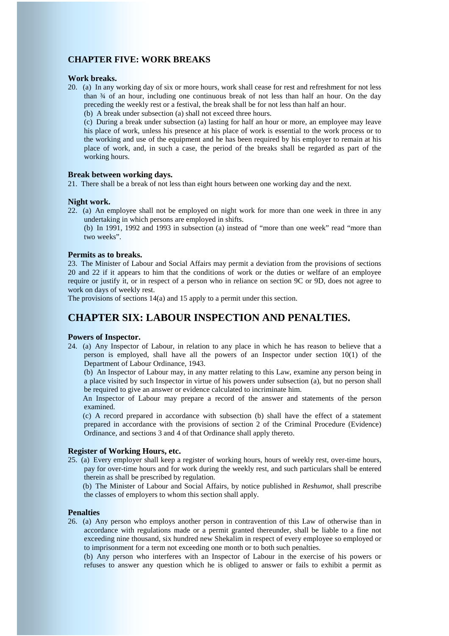# **CHAPTER FIVE: WORK BREAKS**

## **Work breaks.**

- 20. (a) In any working day of six or more hours, work shall cease for rest and refreshment for not less than ¾ of an hour, including one continuous break of not less than half an hour. On the day preceding the weekly rest or a festival, the break shall be for not less than half an hour.
	- (b) A break under subsection (a) shall not exceed three hours.

 (c) During a break under subsection (a) lasting for half an hour or more, an employee may leave his place of work, unless his presence at his place of work is essential to the work process or to the working and use of the equipment and he has been required by his employer to remain at his place of work, and, in such a case, the period of the breaks shall be regarded as part of the working hours.

## **Break between working days.**

21. There shall be a break of not less than eight hours between one working day and the next.

#### **Night work.**

22. (a) An employee shall not be employed on night work for more than one week in three in any undertaking in which persons are employed in shifts.

 (b) In 1991, 1992 and 1993 in subsection (a) instead of "more than one week" read "more than two weeks".

## **Permits as to breaks.**

23. The Minister of Labour and Social Affairs may permit a deviation from the provisions of sections 20 and 22 if it appears to him that the conditions of work or the duties or welfare of an employee require or justify it, or in respect of a person who in reliance on section 9C or 9D, does not agree to work on days of weekly rest.

The provisions of sections 14(a) and 15 apply to a permit under this section.

# **CHAPTER SIX: LABOUR INSPECTION AND PENALTIES.**

### **Powers of Inspector.**

24. (a) Any Inspector of Labour, in relation to any place in which he has reason to believe that a person is employed, shall have all the powers of an Inspector under section 10(1) of the Department of Labour Ordinance, 1943.

 (b) An Inspector of Labour may, in any matter relating to this Law, examine any person being in a place visited by such Inspector in virtue of his powers under subsection (a), but no person shall be required to give an answer or evidence calculated to incriminate him.

 An Inspector of Labour may prepare a record of the answer and statements of the person examined.

 (c) A record prepared in accordance with subsection (b) shall have the effect of a statement prepared in accordance with the provisions of section 2 of the Criminal Procedure (Evidence) Ordinance, and sections 3 and 4 of that Ordinance shall apply thereto.

## **Register of Working Hours, etc.**

25. (a) Every employer shall keep a register of working hours, hours of weekly rest, over-time hours, pay for over-time hours and for work during the weekly rest, and such particulars shall be entered therein as shall be prescribed by regulation.

 (b) The Minister of Labour and Social Affairs, by notice published in *Reshumot*, shall prescribe the classes of employers to whom this section shall apply.

## **Penalties**

26. (a) Any person who employs another person in contravention of this Law of otherwise than in accordance with regulations made or a permit granted thereunder, shall be liable to a fine not exceeding nine thousand, six hundred new Shekalim in respect of every employee so employed or to imprisonment for a term not exceeding one month or to both such penalties.

 (b) Any person who interferes with an Inspector of Labour in the exercise of his powers or refuses to answer any question which he is obliged to answer or fails to exhibit a permit as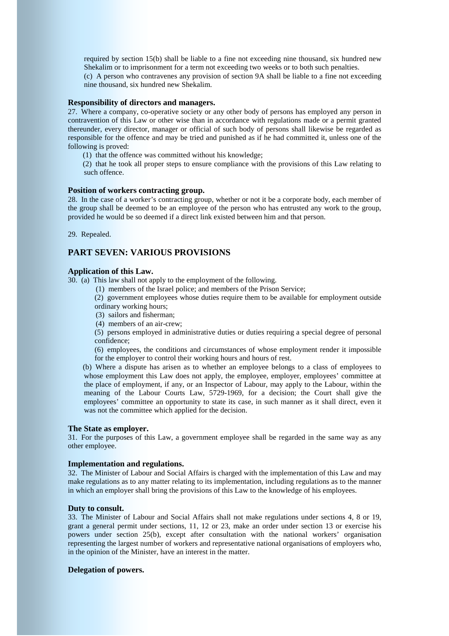required by section 15(b) shall be liable to a fine not exceeding nine thousand, six hundred new Shekalim or to imprisonment for a term not exceeding two weeks or to both such penalties.

 (c) A person who contravenes any provision of section 9A shall be liable to a fine not exceeding nine thousand, six hundred new Shekalim.

## **Responsibility of directors and managers.**

27. Where a company, co-operative society or any other body of persons has employed any person in contravention of this Law or other wise than in accordance with regulations made or a permit granted thereunder, every director, manager or official of such body of persons shall likewise be regarded as responsible for the offence and may be tried and punished as if he had committed it, unless one of the following is proved:

(1) that the offence was committed without his knowledge;

 (2) that he took all proper steps to ensure compliance with the provisions of this Law relating to such offence.

#### **Position of workers contracting group.**

28. In the case of a worker's contracting group, whether or not it be a corporate body, each member of the group shall be deemed to be an employee of the person who has entrusted any work to the group, provided he would be so deemed if a direct link existed between him and that person.

29. Repealed.

## **PART SEVEN: VARIOUS PROVISIONS**

## **Application of this Law.**

30. (a) This law shall not apply to the employment of the following.

(1) members of the Israel police; and members of the Prison Service;

 (2) government employees whose duties require them to be available for employment outside ordinary working hours;

(3) sailors and fisherman;

(4) members of an air-crew;

 (5) persons employed in administrative duties or duties requiring a special degree of personal confidence;

 (6) employees, the conditions and circumstances of whose employment render it impossible for the employer to control their working hours and hours of rest.

 (b) Where a dispute has arisen as to whether an employee belongs to a class of employees to whose employment this Law does not apply, the employee, employer, employees' committee at the place of employment, if any, or an Inspector of Labour, may apply to the Labour, within the meaning of the Labour Courts Law, 5729-1969, for a decision; the Court shall give the employees' committee an opportunity to state its case, in such manner as it shall direct, even it was not the committee which applied for the decision.

## **The State as employer.**

31. For the purposes of this Law, a government employee shall be regarded in the same way as any other employee.

## **Implementation and regulations.**

32. The Minister of Labour and Social Affairs is charged with the implementation of this Law and may make regulations as to any matter relating to its implementation, including regulations as to the manner in which an employer shall bring the provisions of this Law to the knowledge of his employees.

## **Duty to consult.**

33. The Minister of Labour and Social Affairs shall not make regulations under sections 4, 8 or 19, grant a general permit under sections, 11, 12 or 23, make an order under section 13 or exercise his powers under section 25(b), except after consultation with the national workers' organisation representing the largest number of workers and representative national organisations of employers who, in the opinion of the Minister, have an interest in the matter.

## **Delegation of powers.**